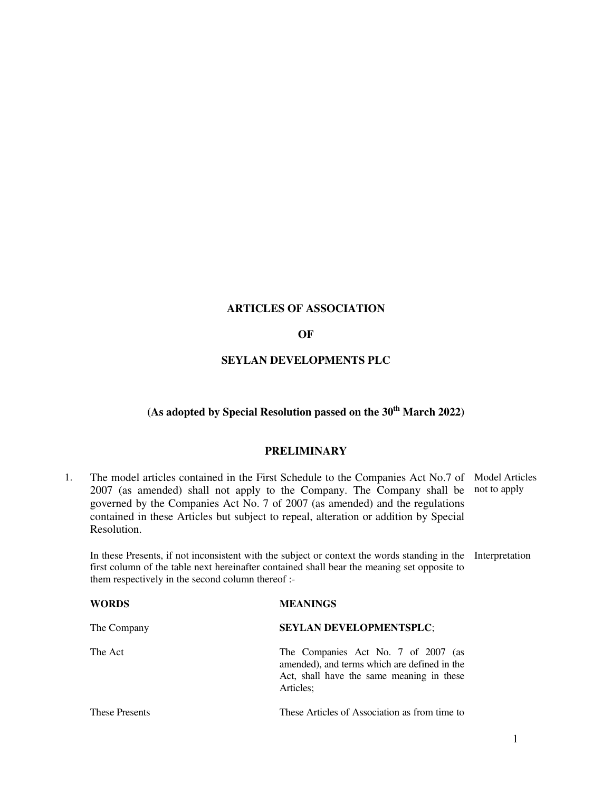# **ARTICLES OF ASSOCIATION**

# **OF**

# **SEYLAN DEVELOPMENTS PLC**

# **(As adopted by Special Resolution passed on the 30th March 2022)**

# **PRELIMINARY**

1. The model articles contained in the First Schedule to the Companies Act No.7 of Model Articles 2007 (as amended) shall not apply to the Company. The Company shall be governed by the Companies Act No. 7 of 2007 (as amended) and the regulations contained in these Articles but subject to repeal, alteration or addition by Special Resolution. not to apply

 In these Presents, if not inconsistent with the subject or context the words standing in the Interpretation first column of the table next hereinafter contained shall bear the meaning set opposite to them respectively in the second column thereof :-

| WORDS                 | <b>MEANINGS</b>                                                                                                                               |
|-----------------------|-----------------------------------------------------------------------------------------------------------------------------------------------|
| The Company           | <b>SEYLAN DEVELOPMENTSPLC;</b>                                                                                                                |
| The Act               | The Companies Act No. 7 of 2007 (as<br>amended), and terms which are defined in the<br>Act, shall have the same meaning in these<br>Articles; |
| <b>These Presents</b> | These Articles of Association as from time to                                                                                                 |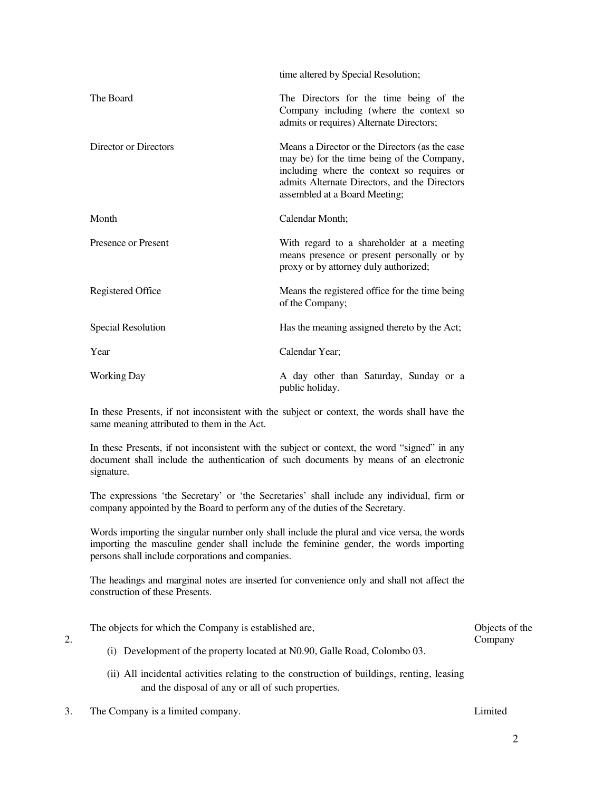|                           | time altered by Special Resolution;                                                                                                                                                                                          |
|---------------------------|------------------------------------------------------------------------------------------------------------------------------------------------------------------------------------------------------------------------------|
| The Board                 | The Directors for the time being of the<br>Company including (where the context so<br>admits or requires) Alternate Directors;                                                                                               |
| Director or Directors     | Means a Director or the Directors (as the case<br>may be) for the time being of the Company,<br>including where the context so requires or<br>admits Alternate Directors, and the Directors<br>assembled at a Board Meeting; |
| Month                     | Calendar Month;                                                                                                                                                                                                              |
| Presence or Present       | With regard to a shareholder at a meeting<br>means presence or present personally or by<br>proxy or by attorney duly authorized;                                                                                             |
| Registered Office         | Means the registered office for the time being<br>of the Company;                                                                                                                                                            |
| <b>Special Resolution</b> | Has the meaning assigned thereto by the Act;                                                                                                                                                                                 |
| Year                      | Calendar Year;                                                                                                                                                                                                               |
| <b>Working Day</b>        | A day other than Saturday, Sunday or a<br>public holiday.                                                                                                                                                                    |

 In these Presents, if not inconsistent with the subject or context, the words shall have the same meaning attributed to them in the Act.

In these Presents, if not inconsistent with the subject or context, the word "signed" in any document shall include the authentication of such documents by means of an electronic signature.

 The expressions 'the Secretary' or 'the Secretaries' shall include any individual, firm or company appointed by the Board to perform any of the duties of the Secretary.

 Words importing the singular number only shall include the plural and vice versa, the words importing the masculine gender shall include the feminine gender, the words importing persons shall include corporations and companies.

The headings and marginal notes are inserted for convenience only and shall not affect the construction of these Presents.

The objects for which the Company is established are, (i) Development of the property located at N0.90, Galle Road, Colombo 03. Objects of the Company

- (ii) All incidental activities relating to the construction of buildings, renting, leasing and the disposal of any or all of such properties.
- 3. The Company is a limited company. Limited

2.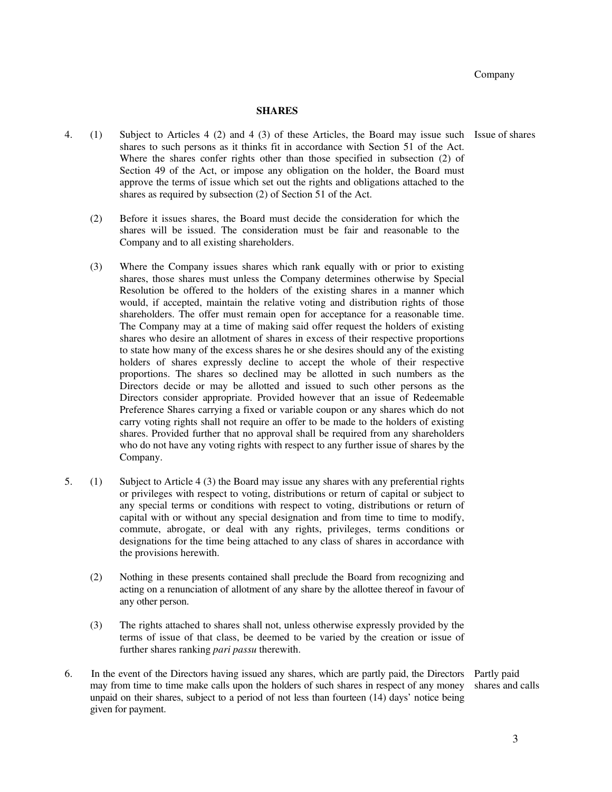### **SHARES**

- 4. (1) Subject to Articles 4 (2) and 4 (3) of these Articles, the Board may issue such Issue of shares shares to such persons as it thinks fit in accordance with Section 51 of the Act. Where the shares confer rights other than those specified in subsection (2) of Section 49 of the Act, or impose any obligation on the holder, the Board must approve the terms of issue which set out the rights and obligations attached to the shares as required by subsection (2) of Section 51 of the Act.
	- (2) Before it issues shares, the Board must decide the consideration for which the shares will be issued. The consideration must be fair and reasonable to the Company and to all existing shareholders.
	- (3) Where the Company issues shares which rank equally with or prior to existing shares, those shares must unless the Company determines otherwise by Special Resolution be offered to the holders of the existing shares in a manner which would, if accepted, maintain the relative voting and distribution rights of those shareholders. The offer must remain open for acceptance for a reasonable time. The Company may at a time of making said offer request the holders of existing shares who desire an allotment of shares in excess of their respective proportions to state how many of the excess shares he or she desires should any of the existing holders of shares expressly decline to accept the whole of their respective proportions. The shares so declined may be allotted in such numbers as the Directors decide or may be allotted and issued to such other persons as the Directors consider appropriate. Provided however that an issue of Redeemable Preference Shares carrying a fixed or variable coupon or any shares which do not carry voting rights shall not require an offer to be made to the holders of existing shares. Provided further that no approval shall be required from any shareholders who do not have any voting rights with respect to any further issue of shares by the Company.
- 5. (1) Subject to Article 4 (3) the Board may issue any shares with any preferential rights or privileges with respect to voting, distributions or return of capital or subject to any special terms or conditions with respect to voting, distributions or return of capital with or without any special designation and from time to time to modify, commute, abrogate, or deal with any rights, privileges, terms conditions or designations for the time being attached to any class of shares in accordance with the provisions herewith.
	- (2) Nothing in these presents contained shall preclude the Board from recognizing and acting on a renunciation of allotment of any share by the allottee thereof in favour of any other person.
	- (3) The rights attached to shares shall not, unless otherwise expressly provided by the terms of issue of that class, be deemed to be varied by the creation or issue of further shares ranking *pari passu* therewith.
- 6. In the event of the Directors having issued any shares, which are partly paid, the Directors may from time to time make calls upon the holders of such shares in respect of any money unpaid on their shares, subject to a period of not less than fourteen (14) days' notice being given for payment. Partly paid shares and calls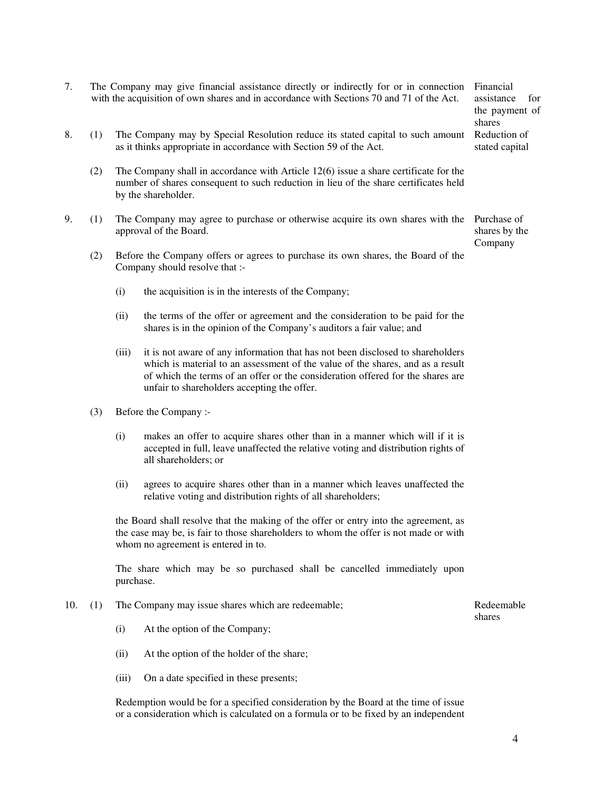# 7. The Company may give financial assistance directly or indirectly for or in connection with the acquisition of own shares and in accordance with Sections 70 and 71 of the Act.

- 8. (1) The Company may by Special Resolution reduce its stated capital to such amount as it thinks appropriate in accordance with Section 59 of the Act.
	- (2) The Company shall in accordance with Article 12(6) issue a share certificate for the number of shares consequent to such reduction in lieu of the share certificates held by the shareholder.
- 9. (1) The Company may agree to purchase or otherwise acquire its own shares with the Purchase of approval of the Board. shares by the
	- (2) Before the Company offers or agrees to purchase its own shares, the Board of the Company should resolve that :-
		- (i) the acquisition is in the interests of the Company;
		- (ii) the terms of the offer or agreement and the consideration to be paid for the shares is in the opinion of the Company's auditors a fair value; and
		- (iii) it is not aware of any information that has not been disclosed to shareholders which is material to an assessment of the value of the shares, and as a result of which the terms of an offer or the consideration offered for the shares are unfair to shareholders accepting the offer.
	- (3) Before the Company :-
		- (i) makes an offer to acquire shares other than in a manner which will if it is accepted in full, leave unaffected the relative voting and distribution rights of all shareholders; or
		- (ii) agrees to acquire shares other than in a manner which leaves unaffected the relative voting and distribution rights of all shareholders;

 the Board shall resolve that the making of the offer or entry into the agreement, as the case may be, is fair to those shareholders to whom the offer is not made or with whom no agreement is entered in to.

 The share which may be so purchased shall be cancelled immediately upon purchase.

- 10. (1) The Company may issue shares which are redeemable; Redeemable Redeemable
	- (i) At the option of the Company;
	- (ii) At the option of the holder of the share;
	- (iii) On a date specified in these presents;

 Redemption would be for a specified consideration by the Board at the time of issue or a consideration which is calculated on a formula or to be fixed by an independent

Financial assistance for the payment of shares Reduction of stated capital

Company

shares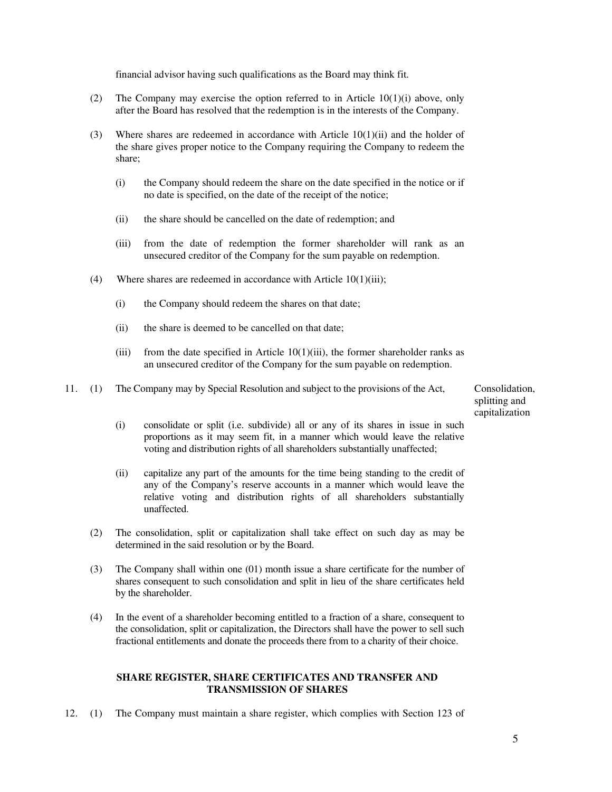financial advisor having such qualifications as the Board may think fit.

- (2) The Company may exercise the option referred to in Article 10(1)(i) above, only after the Board has resolved that the redemption is in the interests of the Company.
- (3) Where shares are redeemed in accordance with Article 10(1)(ii) and the holder of the share gives proper notice to the Company requiring the Company to redeem the share;
	- (i) the Company should redeem the share on the date specified in the notice or if no date is specified, on the date of the receipt of the notice;
	- (ii) the share should be cancelled on the date of redemption; and
	- (iii) from the date of redemption the former shareholder will rank as an unsecured creditor of the Company for the sum payable on redemption.
- (4) Where shares are redeemed in accordance with Article 10(1)(iii);
	- (i) the Company should redeem the shares on that date;
	- (ii) the share is deemed to be cancelled on that date;
	- (iii) from the date specified in Article  $10(1)(iii)$ , the former shareholder ranks as an unsecured creditor of the Company for the sum payable on redemption.
- 11. (1) The Company may by Special Resolution and subject to the provisions of the Act, Consolidation,

splitting and capitalization

- (i) consolidate or split (i.e. subdivide) all or any of its shares in issue in such proportions as it may seem fit, in a manner which would leave the relative voting and distribution rights of all shareholders substantially unaffected;
- (ii) capitalize any part of the amounts for the time being standing to the credit of any of the Company's reserve accounts in a manner which would leave the relative voting and distribution rights of all shareholders substantially unaffected.
- (2) The consolidation, split or capitalization shall take effect on such day as may be determined in the said resolution or by the Board.
- (3) The Company shall within one (01) month issue a share certificate for the number of shares consequent to such consolidation and split in lieu of the share certificates held by the shareholder.
- (4) In the event of a shareholder becoming entitled to a fraction of a share, consequent to the consolidation, split or capitalization, the Directors shall have the power to sell such fractional entitlements and donate the proceeds there from to a charity of their choice.

### **SHARE REGISTER, SHARE CERTIFICATES AND TRANSFER AND TRANSMISSION OF SHARES**

12. (1) The Company must maintain a share register, which complies with Section 123 of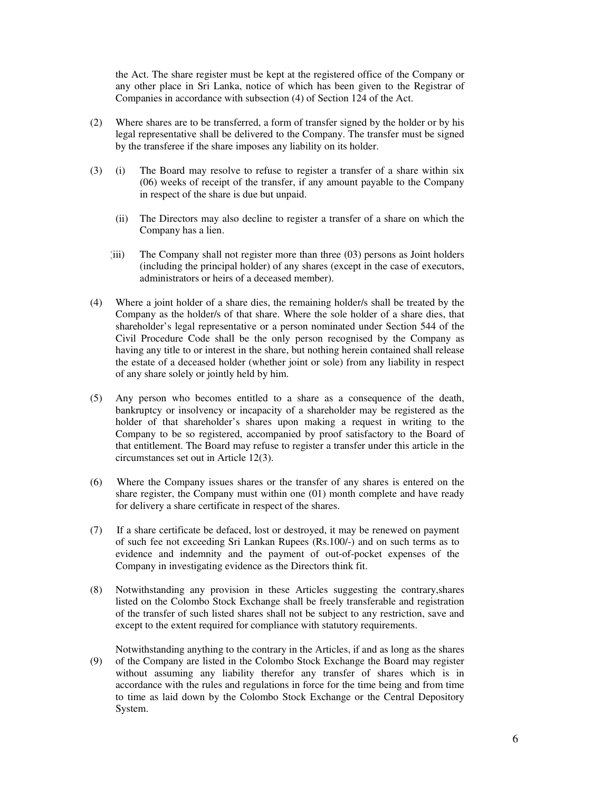the Act. The share register must be kept at the registered office of the Company or any other place in Sri Lanka, notice of which has been given to the Registrar of Companies in accordance with subsection (4) of Section 124 of the Act.

- (2) Where shares are to be transferred, a form of transfer signed by the holder or by his legal representative shall be delivered to the Company. The transfer must be signed by the transferee if the share imposes any liability on its holder.
- (3) (i) The Board may resolve to refuse to register a transfer of a share within six (06) weeks of receipt of the transfer, if any amount payable to the Company in respect of the share is due but unpaid.
- (ii) The Directors may also decline to register a transfer of a share on which the Company has a lien.
	- (iii) The Company shall not register more than three (03) persons as Joint holders (including the principal holder) of any shares (except in the case of executors, administrators or heirs of a deceased member).
	- (4) Where a joint holder of a share dies, the remaining holder/s shall be treated by the Company as the holder/s of that share. Where the sole holder of a share dies, that shareholder's legal representative or a person nominated under Section 544 of the Civil Procedure Code shall be the only person recognised by the Company as having any title to or interest in the share, but nothing herein contained shall release the estate of a deceased holder (whether joint or sole) from any liability in respect of any share solely or jointly held by him.
	- (5) Any person who becomes entitled to a share as a consequence of the death, bankruptcy or insolvency or incapacity of a shareholder may be registered as the holder of that shareholder's shares upon making a request in writing to the Company to be so registered, accompanied by proof satisfactory to the Board of that entitlement. The Board may refuse to register a transfer under this article in the circumstances set out in Article 12(3).
	- (6) Where the Company issues shares or the transfer of any shares is entered on the share register, the Company must within one (01) month complete and have ready for delivery a share certificate in respect of the shares.
	- (7) If a share certificate be defaced, lost or destroyed, it may be renewed on payment of such fee not exceeding Sri Lankan Rupees (Rs.100/-) and on such terms as to evidence and indemnity and the payment of out-of-pocket expenses of the Company in investigating evidence as the Directors think fit.
	- (8) Notwithstanding any provision in these Articles suggesting the contrary,shares listed on the Colombo Stock Exchange shall be freely transferable and registration of the transfer of such listed shares shall not be subject to any restriction, save and except to the extent required for compliance with statutory requirements.
	- (9) Notwithstanding anything to the contrary in the Articles, if and as long as the shares of the Company are listed in the Colombo Stock Exchange the Board may register without assuming any liability therefor any transfer of shares which is in accordance with the rules and regulations in force for the time being and from time to time as laid down by the Colombo Stock Exchange or the Central Depository System.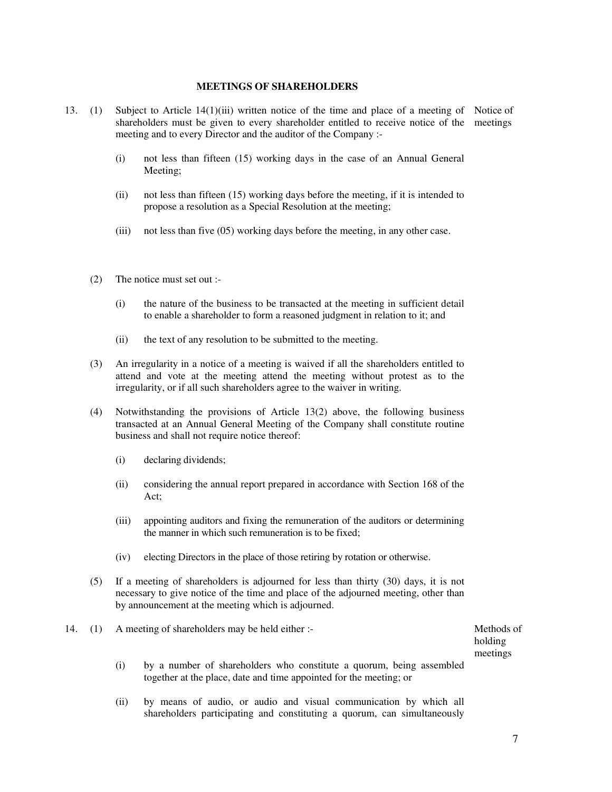#### **MEETINGS OF SHAREHOLDERS**

- 13. (1) Subject to Article 14(1)(iii) written notice of the time and place of a meeting of Notice of shareholders must be given to every shareholder entitled to receive notice of the meetings meeting and to every Director and the auditor of the Company :-
	- (i) not less than fifteen (15) working days in the case of an Annual General Meeting;
	- (ii) not less than fifteen (15) working days before the meeting, if it is intended to propose a resolution as a Special Resolution at the meeting;
	- (iii) not less than five (05) working days before the meeting, in any other case.
	- (2) The notice must set out :-
		- (i) the nature of the business to be transacted at the meeting in sufficient detail to enable a shareholder to form a reasoned judgment in relation to it; and
		- (ii) the text of any resolution to be submitted to the meeting.
	- (3) An irregularity in a notice of a meeting is waived if all the shareholders entitled to attend and vote at the meeting attend the meeting without protest as to the irregularity, or if all such shareholders agree to the waiver in writing.
	- (4) Notwithstanding the provisions of Article 13(2) above, the following business transacted at an Annual General Meeting of the Company shall constitute routine business and shall not require notice thereof:
		- (i) declaring dividends;
		- (ii) considering the annual report prepared in accordance with Section 168 of the Act;
		- (iii) appointing auditors and fixing the remuneration of the auditors or determining the manner in which such remuneration is to be fixed;
		- (iv) electing Directors in the place of those retiring by rotation or otherwise.
	- (5) If a meeting of shareholders is adjourned for less than thirty (30) days, it is not necessary to give notice of the time and place of the adjourned meeting, other than by announcement at the meeting which is adjourned.
- 14. (1) A meeting of shareholders may be held either :- Methods of

holding meetings

- (i) by a number of shareholders who constitute a quorum, being assembled together at the place, date and time appointed for the meeting; or
- (ii) by means of audio, or audio and visual communication by which all shareholders participating and constituting a quorum, can simultaneously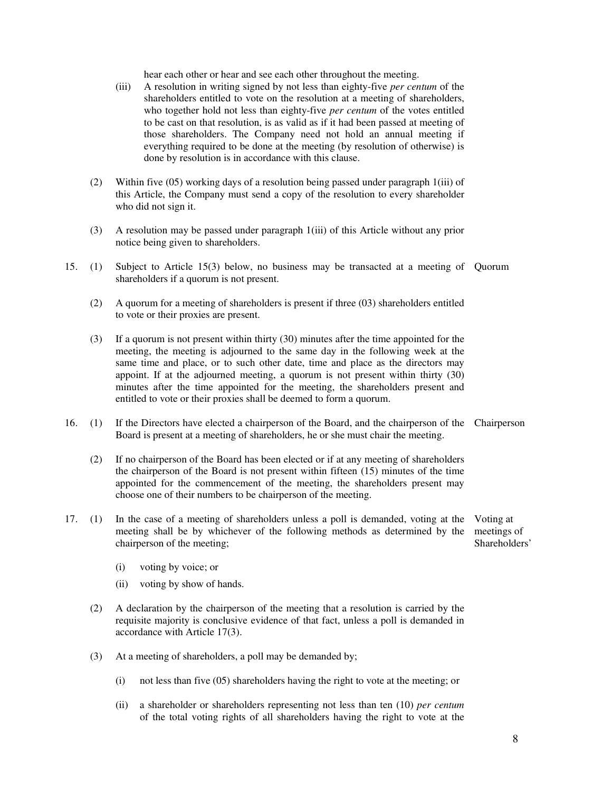hear each other or hear and see each other throughout the meeting.

- (iii) A resolution in writing signed by not less than eighty-five *per centum* of the shareholders entitled to vote on the resolution at a meeting of shareholders, who together hold not less than eighty-five *per centum* of the votes entitled to be cast on that resolution, is as valid as if it had been passed at meeting of those shareholders. The Company need not hold an annual meeting if everything required to be done at the meeting (by resolution of otherwise) is done by resolution is in accordance with this clause.
- (2) Within five (05) working days of a resolution being passed under paragraph 1(iii) of this Article, the Company must send a copy of the resolution to every shareholder who did not sign it.
- (3) A resolution may be passed under paragraph 1(iii) of this Article without any prior notice being given to shareholders.
- 15. (1) Subject to Article 15(3) below, no business may be transacted at a meeting of Quorum shareholders if a quorum is not present.
	- (2) A quorum for a meeting of shareholders is present if three (03) shareholders entitled to vote or their proxies are present.
	- (3) If a quorum is not present within thirty (30) minutes after the time appointed for the meeting, the meeting is adjourned to the same day in the following week at the same time and place, or to such other date, time and place as the directors may appoint. If at the adjourned meeting, a quorum is not present within thirty (30) minutes after the time appointed for the meeting, the shareholders present and entitled to vote or their proxies shall be deemed to form a quorum.
- 16. (1) If the Directors have elected a chairperson of the Board, and the chairperson of the Chairperson Board is present at a meeting of shareholders, he or she must chair the meeting.
	- (2) If no chairperson of the Board has been elected or if at any meeting of shareholders the chairperson of the Board is not present within fifteen (15) minutes of the time appointed for the commencement of the meeting, the shareholders present may choose one of their numbers to be chairperson of the meeting.
- 17. (1) In the case of a meeting of shareholders unless a poll is demanded, voting at the meeting shall be by whichever of the following methods as determined by the chairperson of the meeting; Voting at meetings of Shareholders'
	- (i) voting by voice; or
	- (ii) voting by show of hands.
	- (2) A declaration by the chairperson of the meeting that a resolution is carried by the requisite majority is conclusive evidence of that fact, unless a poll is demanded in accordance with Article 17(3).
	- (3) At a meeting of shareholders, a poll may be demanded by;
		- (i) not less than five (05) shareholders having the right to vote at the meeting; or
		- (ii) a shareholder or shareholders representing not less than ten (10) *per centum* of the total voting rights of all shareholders having the right to vote at the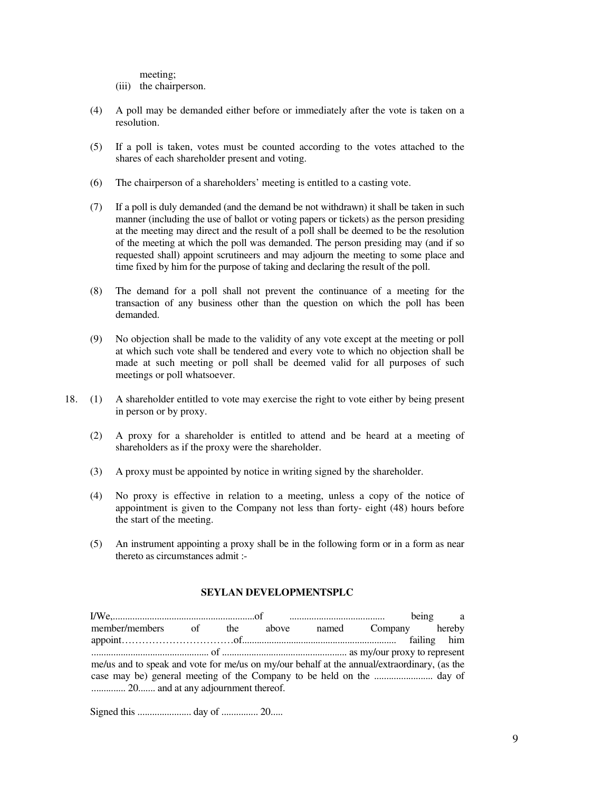meeting;

(iii) the chairperson.

- (4) A poll may be demanded either before or immediately after the vote is taken on a resolution.
- (5) If a poll is taken, votes must be counted according to the votes attached to the shares of each shareholder present and voting.
- (6) The chairperson of a shareholders' meeting is entitled to a casting vote.
- (7) If a poll is duly demanded (and the demand be not withdrawn) it shall be taken in such manner (including the use of ballot or voting papers or tickets) as the person presiding at the meeting may direct and the result of a poll shall be deemed to be the resolution of the meeting at which the poll was demanded. The person presiding may (and if so requested shall) appoint scrutineers and may adjourn the meeting to some place and time fixed by him for the purpose of taking and declaring the result of the poll.
- (8) The demand for a poll shall not prevent the continuance of a meeting for the transaction of any business other than the question on which the poll has been demanded.
- (9) No objection shall be made to the validity of any vote except at the meeting or poll at which such vote shall be tendered and every vote to which no objection shall be made at such meeting or poll shall be deemed valid for all purposes of such meetings or poll whatsoever.
- 18. (1) A shareholder entitled to vote may exercise the right to vote either by being present in person or by proxy.
	- (2) A proxy for a shareholder is entitled to attend and be heard at a meeting of shareholders as if the proxy were the shareholder.
	- (3) A proxy must be appointed by notice in writing signed by the shareholder.
	- (4) No proxy is effective in relation to a meeting, unless a copy of the notice of appointment is given to the Company not less than forty- eight (48) hours before the start of the meeting.
	- (5) An instrument appointing a proxy shall be in the following form or in a form as near thereto as circumstances admit :-

### **SEYLAN DEVELOPMENTSPLC**

| member/members of the above named Company hereby                                            |  |  |  |  |  |  |  |
|---------------------------------------------------------------------------------------------|--|--|--|--|--|--|--|
|                                                                                             |  |  |  |  |  |  |  |
|                                                                                             |  |  |  |  |  |  |  |
| me/us and to speak and vote for me/us on my/our behalf at the annual/extraordinary, (as the |  |  |  |  |  |  |  |
|                                                                                             |  |  |  |  |  |  |  |
| 20 and at any adjournment thereof.                                                          |  |  |  |  |  |  |  |

Signed this ...................... day of ............... 20.....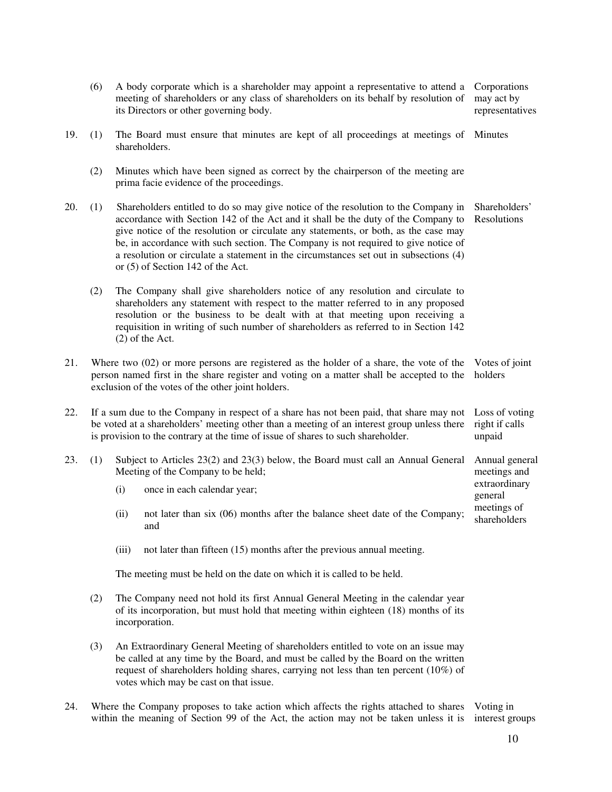|     | (6) |                                                                                                                                                                                                                                                                                                                                                                                                                                                                                                                      | A body corporate which is a shareholder may appoint a representative to attend a<br>meeting of shareholders or any class of shareholders on its behalf by resolution of<br>its Directors or other governing body.                                                                                                                                              | Corporations<br>may act by<br>representatives |  |  |
|-----|-----|----------------------------------------------------------------------------------------------------------------------------------------------------------------------------------------------------------------------------------------------------------------------------------------------------------------------------------------------------------------------------------------------------------------------------------------------------------------------------------------------------------------------|----------------------------------------------------------------------------------------------------------------------------------------------------------------------------------------------------------------------------------------------------------------------------------------------------------------------------------------------------------------|-----------------------------------------------|--|--|
| 19. | (1) | The Board must ensure that minutes are kept of all proceedings at meetings of<br>shareholders.                                                                                                                                                                                                                                                                                                                                                                                                                       |                                                                                                                                                                                                                                                                                                                                                                |                                               |  |  |
|     | (2) |                                                                                                                                                                                                                                                                                                                                                                                                                                                                                                                      | Minutes which have been signed as correct by the chairperson of the meeting are<br>prima facie evidence of the proceedings.                                                                                                                                                                                                                                    |                                               |  |  |
| 20. | (1) | Shareholders entitled to do so may give notice of the resolution to the Company in<br>Shareholders'<br>accordance with Section 142 of the Act and it shall be the duty of the Company to<br>Resolutions<br>give notice of the resolution or circulate any statements, or both, as the case may<br>be, in accordance with such section. The Company is not required to give notice of<br>a resolution or circulate a statement in the circumstances set out in subsections (4)<br>or $(5)$ of Section 142 of the Act. |                                                                                                                                                                                                                                                                                                                                                                |                                               |  |  |
|     | (2) |                                                                                                                                                                                                                                                                                                                                                                                                                                                                                                                      | The Company shall give shareholders notice of any resolution and circulate to<br>shareholders any statement with respect to the matter referred to in any proposed<br>resolution or the business to be dealt with at that meeting upon receiving a<br>requisition in writing of such number of shareholders as referred to in Section 142<br>$(2)$ of the Act. |                                               |  |  |
| 21. |     | Where two $(02)$ or more persons are registered as the holder of a share, the vote of the<br>Votes of joint<br>person named first in the share register and voting on a matter shall be accepted to the<br>holders<br>exclusion of the votes of the other joint holders.                                                                                                                                                                                                                                             |                                                                                                                                                                                                                                                                                                                                                                |                                               |  |  |
| 22. |     | If a sum due to the Company in respect of a share has not been paid, that share may not<br>Loss of voting<br>be voted at a shareholders' meeting other than a meeting of an interest group unless there<br>right if calls<br>is provision to the contrary at the time of issue of shares to such shareholder.<br>unpaid                                                                                                                                                                                              |                                                                                                                                                                                                                                                                                                                                                                |                                               |  |  |
| 23. | (1) | Subject to Articles 23(2) and 23(3) below, the Board must call an Annual General<br>Meeting of the Company to be held;                                                                                                                                                                                                                                                                                                                                                                                               |                                                                                                                                                                                                                                                                                                                                                                |                                               |  |  |
|     |     | (i)                                                                                                                                                                                                                                                                                                                                                                                                                                                                                                                  | once in each calendar year;                                                                                                                                                                                                                                                                                                                                    | extraordinary<br>general                      |  |  |
|     |     | (ii)                                                                                                                                                                                                                                                                                                                                                                                                                                                                                                                 | not later than six (06) months after the balance sheet date of the Company;<br>and                                                                                                                                                                                                                                                                             | meetings of<br>shareholders                   |  |  |
|     |     | (iii)                                                                                                                                                                                                                                                                                                                                                                                                                                                                                                                | not later than fifteen (15) months after the previous annual meeting.                                                                                                                                                                                                                                                                                          |                                               |  |  |
|     |     | The meeting must be held on the date on which it is called to be held.                                                                                                                                                                                                                                                                                                                                                                                                                                               |                                                                                                                                                                                                                                                                                                                                                                |                                               |  |  |
|     | (2) |                                                                                                                                                                                                                                                                                                                                                                                                                                                                                                                      | The Company need not hold its first Annual General Meeting in the calendar year<br>of its incorporation, but must hold that meeting within eighteen (18) months of its<br>incorporation.                                                                                                                                                                       |                                               |  |  |
|     | (3) | An Extraordinary General Meeting of shareholders entitled to vote on an issue may<br>be called at any time by the Board, and must be called by the Board on the written<br>request of shareholders holding shares, carrying not less than ten percent (10%) of<br>votes which may be cast on that issue.                                                                                                                                                                                                             |                                                                                                                                                                                                                                                                                                                                                                |                                               |  |  |

24. Where the Company proposes to take action which affects the rights attached to shares within the meaning of Section 99 of the Act, the action may not be taken unless it is Voting in interest groups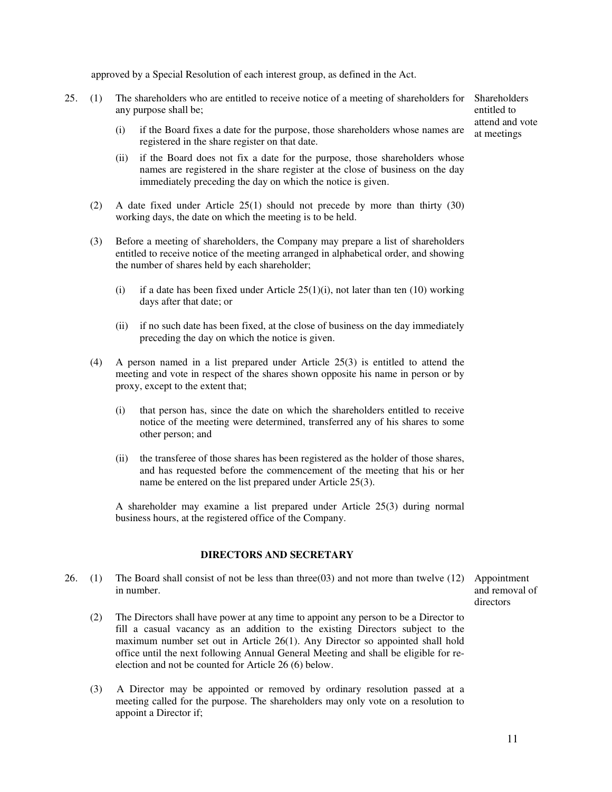approved by a Special Resolution of each interest group, as defined in the Act.

- 25. (1) The shareholders who are entitled to receive notice of a meeting of shareholders for Shareholders any purpose shall be;
	- $(i)$  if the Board fixes a date for the purpose, those shareholders whose names are  $\frac{a}{at}$  meetings registered in the share register on that date.
	- (ii) if the Board does not fix a date for the purpose, those shareholders whose names are registered in the share register at the close of business on the day immediately preceding the day on which the notice is given.
	- (2) A date fixed under Article 25(1) should not precede by more than thirty (30) working days, the date on which the meeting is to be held.
	- (3) Before a meeting of shareholders, the Company may prepare a list of shareholders entitled to receive notice of the meeting arranged in alphabetical order, and showing the number of shares held by each shareholder;
		- (i) if a date has been fixed under Article  $25(1)(i)$ , not later than ten  $(10)$  working days after that date; or
		- (ii) if no such date has been fixed, at the close of business on the day immediately preceding the day on which the notice is given.
	- (4) A person named in a list prepared under Article 25(3) is entitled to attend the meeting and vote in respect of the shares shown opposite his name in person or by proxy, except to the extent that;
		- (i) that person has, since the date on which the shareholders entitled to receive notice of the meeting were determined, transferred any of his shares to some other person; and
		- (ii) the transferee of those shares has been registered as the holder of those shares, and has requested before the commencement of the meeting that his or her name be entered on the list prepared under Article 25(3).

 A shareholder may examine a list prepared under Article 25(3) during normal business hours, at the registered office of the Company.

#### **DIRECTORS AND SECRETARY**

- 26. (1) The Board shall consist of not be less than three(03) and not more than twelve (12) Appointment in number.
	- (2) The Directors shall have power at any time to appoint any person to be a Director to fill a casual vacancy as an addition to the existing Directors subject to the maximum number set out in Article 26(1). Any Director so appointed shall hold office until the next following Annual General Meeting and shall be eligible for reelection and not be counted for Article 26 (6) below.
	- (3) A Director may be appointed or removed by ordinary resolution passed at a meeting called for the purpose. The shareholders may only vote on a resolution to appoint a Director if;

and removal of directors

entitled to attend and vote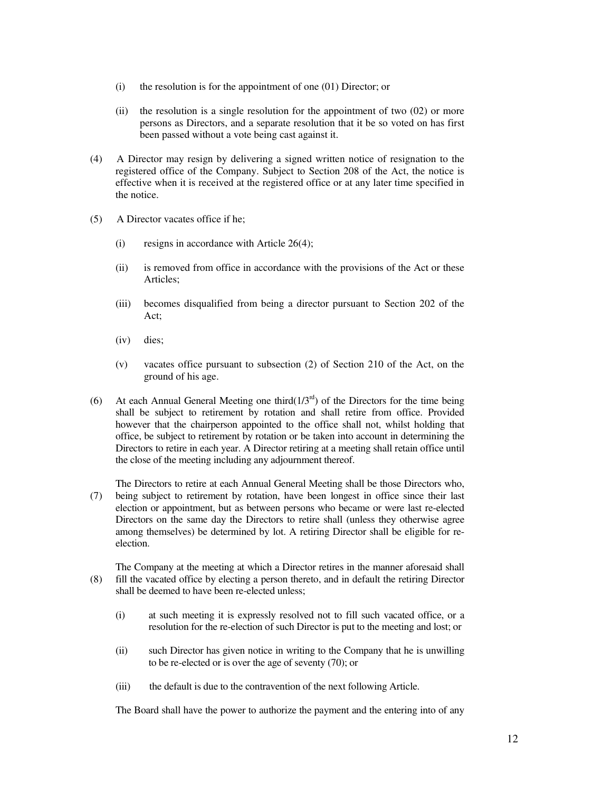- (i) the resolution is for the appointment of one (01) Director; or
- (ii) the resolution is a single resolution for the appointment of two  $(02)$  or more persons as Directors, and a separate resolution that it be so voted on has first been passed without a vote being cast against it.
- (4) A Director may resign by delivering a signed written notice of resignation to the registered office of the Company. Subject to Section 208 of the Act, the notice is effective when it is received at the registered office or at any later time specified in the notice.
- (5) A Director vacates office if he;
	- (i) resigns in accordance with Article 26(4);
	- (ii) is removed from office in accordance with the provisions of the Act or these Articles;
	- (iii) becomes disqualified from being a director pursuant to Section 202 of the Act;
	- (iv) dies;
	- (v) vacates office pursuant to subsection (2) of Section 210 of the Act, on the ground of his age.
- (6) At each Annual General Meeting one third $(1/3<sup>rd</sup>)$  of the Directors for the time being shall be subject to retirement by rotation and shall retire from office. Provided however that the chairperson appointed to the office shall not, whilst holding that office, be subject to retirement by rotation or be taken into account in determining the Directors to retire in each year. A Director retiring at a meeting shall retain office until the close of the meeting including any adjournment thereof.
- (7) The Directors to retire at each Annual General Meeting shall be those Directors who, being subject to retirement by rotation, have been longest in office since their last election or appointment, but as between persons who became or were last re-elected Directors on the same day the Directors to retire shall (unless they otherwise agree among themselves) be determined by lot. A retiring Director shall be eligible for reelection.
- (8) The Company at the meeting at which a Director retires in the manner aforesaid shall fill the vacated office by electing a person thereto, and in default the retiring Director shall be deemed to have been re-elected unless;
	- (i) at such meeting it is expressly resolved not to fill such vacated office, or a resolution for the re-election of such Director is put to the meeting and lost; or
	- (ii) such Director has given notice in writing to the Company that he is unwilling to be re-elected or is over the age of seventy (70); or
	- (iii) the default is due to the contravention of the next following Article.

The Board shall have the power to authorize the payment and the entering into of any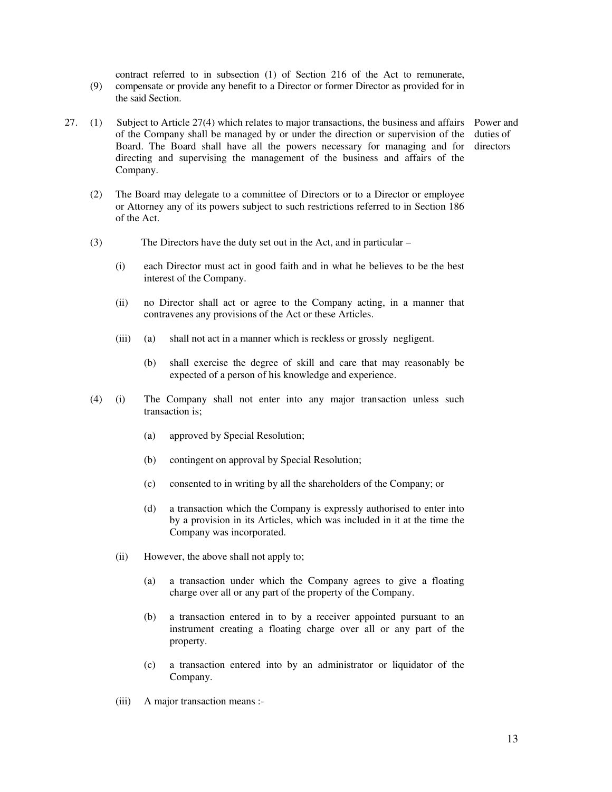(9) contract referred to in subsection (1) of Section 216 of the Act to remunerate, compensate or provide any benefit to a Director or former Director as provided for in the said Section.

- 27. (1) Subject to Article 27(4) which relates to major transactions, the business and affairs Power and of the Company shall be managed by or under the direction or supervision of the Board. The Board shall have all the powers necessary for managing and for directing and supervising the management of the business and affairs of the Company. duties of directors
	- (2) The Board may delegate to a committee of Directors or to a Director or employee or Attorney any of its powers subject to such restrictions referred to in Section 186 of the Act.
	- (3) The Directors have the duty set out in the Act, and in particular –
		- (i) each Director must act in good faith and in what he believes to be the best interest of the Company.
		- (ii) no Director shall act or agree to the Company acting, in a manner that contravenes any provisions of the Act or these Articles.
		- (iii) (a) shall not act in a manner which is reckless or grossly negligent.
			- (b) shall exercise the degree of skill and care that may reasonably be expected of a person of his knowledge and experience.
	- (4) (i) The Company shall not enter into any major transaction unless such transaction is;
		- (a) approved by Special Resolution;
		- (b) contingent on approval by Special Resolution;
		- (c) consented to in writing by all the shareholders of the Company; or
		- (d) a transaction which the Company is expressly authorised to enter into by a provision in its Articles, which was included in it at the time the Company was incorporated.
		- (ii) However, the above shall not apply to;
			- (a) a transaction under which the Company agrees to give a floating charge over all or any part of the property of the Company.
			- (b) a transaction entered in to by a receiver appointed pursuant to an instrument creating a floating charge over all or any part of the property.
			- (c) a transaction entered into by an administrator or liquidator of the Company.
		- (iii) A major transaction means :-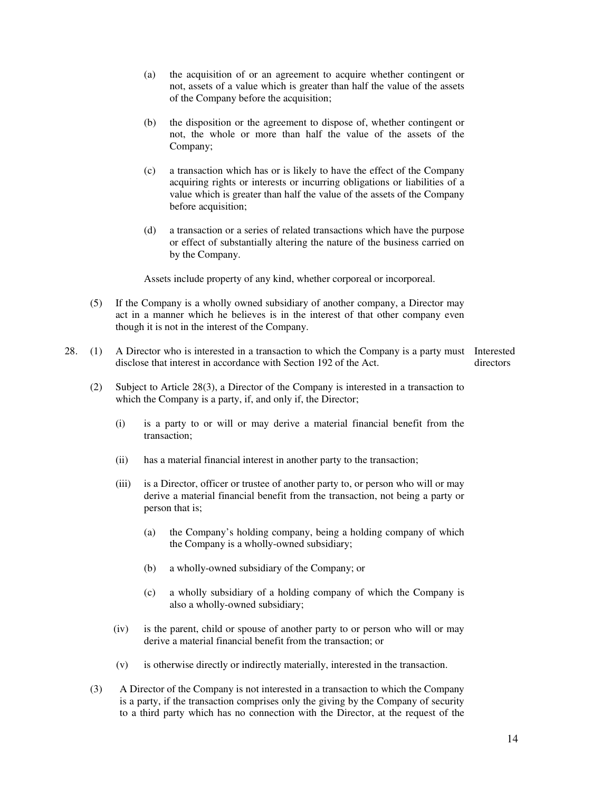- (a) the acquisition of or an agreement to acquire whether contingent or not, assets of a value which is greater than half the value of the assets of the Company before the acquisition;
- (b) the disposition or the agreement to dispose of, whether contingent or not, the whole or more than half the value of the assets of the Company;
- (c) a transaction which has or is likely to have the effect of the Company acquiring rights or interests or incurring obligations or liabilities of a value which is greater than half the value of the assets of the Company before acquisition;
- (d) a transaction or a series of related transactions which have the purpose or effect of substantially altering the nature of the business carried on by the Company.

Assets include property of any kind, whether corporeal or incorporeal.

- (5) If the Company is a wholly owned subsidiary of another company, a Director may act in a manner which he believes is in the interest of that other company even though it is not in the interest of the Company.
- 28. (1) A Director who is interested in a transaction to which the Company is a party must Interested disclose that interest in accordance with Section 192 of the Act. directors
	- (2) Subject to Article 28(3), a Director of the Company is interested in a transaction to which the Company is a party, if, and only if, the Director;
		- (i) is a party to or will or may derive a material financial benefit from the transaction;
		- (ii) has a material financial interest in another party to the transaction;
		- (iii) is a Director, officer or trustee of another party to, or person who will or may derive a material financial benefit from the transaction, not being a party or person that is;
			- (a) the Company's holding company, being a holding company of which the Company is a wholly-owned subsidiary;
			- (b) a wholly-owned subsidiary of the Company; or
			- (c) a wholly subsidiary of a holding company of which the Company is also a wholly-owned subsidiary;
		- (iv) is the parent, child or spouse of another party to or person who will or may derive a material financial benefit from the transaction; or
		- (v) is otherwise directly or indirectly materially, interested in the transaction.
	- (3) A Director of the Company is not interested in a transaction to which the Company is a party, if the transaction comprises only the giving by the Company of security to a third party which has no connection with the Director, at the request of the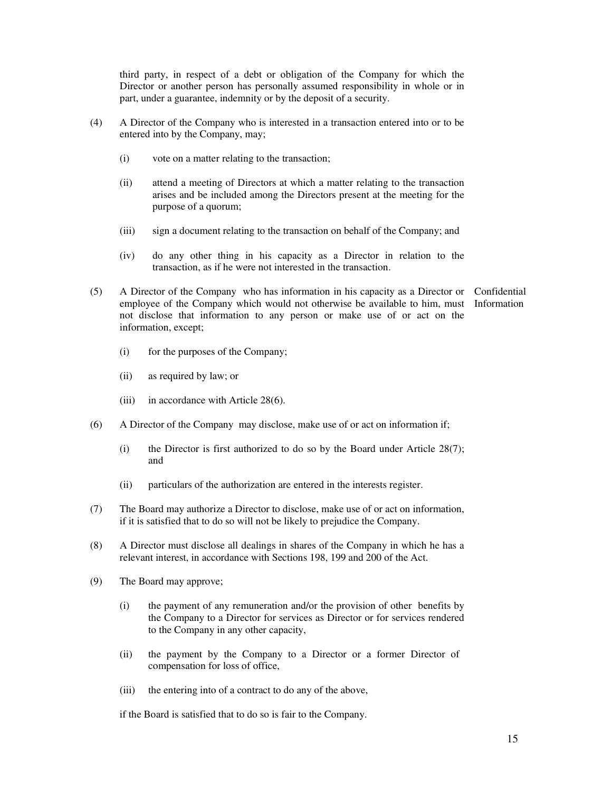third party, in respect of a debt or obligation of the Company for which the Director or another person has personally assumed responsibility in whole or in part, under a guarantee, indemnity or by the deposit of a security.

- (4) A Director of the Company who is interested in a transaction entered into or to be entered into by the Company, may;
	- (i) vote on a matter relating to the transaction;
	- (ii) attend a meeting of Directors at which a matter relating to the transaction arises and be included among the Directors present at the meeting for the purpose of a quorum;
	- (iii) sign a document relating to the transaction on behalf of the Company; and
	- (iv) do any other thing in his capacity as a Director in relation to the transaction, as if he were not interested in the transaction.
- (5) A Director of the Company who has information in his capacity as a Director or Confidential employee of the Company which would not otherwise be available to him, must Information not disclose that information to any person or make use of or act on the information, except;
	- (i) for the purposes of the Company;
	- (ii) as required by law; or
	- (iii) in accordance with Article 28(6).
	- (6) A Director of the Company may disclose, make use of or act on information if;
		- (i) the Director is first authorized to do so by the Board under Article  $28(7)$ ; and
		- (ii) particulars of the authorization are entered in the interests register.
	- (7) The Board may authorize a Director to disclose, make use of or act on information, if it is satisfied that to do so will not be likely to prejudice the Company.
	- (8) A Director must disclose all dealings in shares of the Company in which he has a relevant interest, in accordance with Sections 198, 199 and 200 of the Act.
	- (9) The Board may approve;
		- (i) the payment of any remuneration and/or the provision of other benefits by the Company to a Director for services as Director or for services rendered to the Company in any other capacity,
		- (ii) the payment by the Company to a Director or a former Director of compensation for loss of office,
		- (iii) the entering into of a contract to do any of the above,

if the Board is satisfied that to do so is fair to the Company.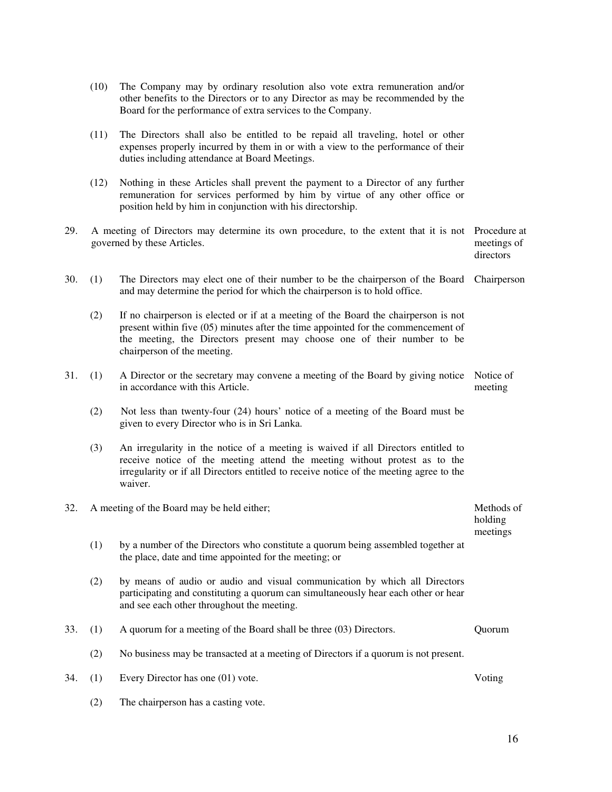|     | (10) | The Company may by ordinary resolution also vote extra remuneration and/or<br>other benefits to the Directors or to any Director as may be recommended by the<br>Board for the performance of extra services to the Company.                                                         |                       |
|-----|------|--------------------------------------------------------------------------------------------------------------------------------------------------------------------------------------------------------------------------------------------------------------------------------------|-----------------------|
|     | (11) | The Directors shall also be entitled to be repaid all traveling, hotel or other<br>expenses properly incurred by them in or with a view to the performance of their<br>duties including attendance at Board Meetings.                                                                |                       |
|     | (12) | Nothing in these Articles shall prevent the payment to a Director of any further<br>remuneration for services performed by him by virtue of any other office or<br>position held by him in conjunction with his directorship.                                                        |                       |
| 29. |      | A meeting of Directors may determine its own procedure, to the extent that it is not<br>governed by these Articles.                                                                                                                                                                  |                       |
| 30. | (1)  | The Directors may elect one of their number to be the chairperson of the Board<br>and may determine the period for which the chairperson is to hold office.                                                                                                                          | Chairperson           |
|     | (2)  | If no chairperson is elected or if at a meeting of the Board the chairperson is not<br>present within five $(05)$ minutes after the time appointed for the commencement of<br>the meeting, the Directors present may choose one of their number to be<br>chairperson of the meeting. |                       |
| 31. | (1)  | A Director or the secretary may convene a meeting of the Board by giving notice<br>in accordance with this Article.                                                                                                                                                                  | Notice of<br>meeting  |
|     | (2)  | Not less than twenty-four (24) hours' notice of a meeting of the Board must be<br>given to every Director who is in Sri Lanka.                                                                                                                                                       |                       |
|     | (3)  | An irregularity in the notice of a meeting is waived if all Directors entitled to<br>receive notice of the meeting attend the meeting without protest as to the<br>irregularity or if all Directors entitled to receive notice of the meeting agree to the<br>waiver.                |                       |
| 32. |      | A meeting of the Board may be held either;                                                                                                                                                                                                                                           | Methods of<br>holding |
|     | (1)  | by a number of the Directors who constitute a quorum being assembled together at<br>the place, date and time appointed for the meeting; or                                                                                                                                           | meetings              |
|     | (2)  | by means of audio or audio and visual communication by which all Directors<br>participating and constituting a quorum can simultaneously hear each other or hear<br>and see each other throughout the meeting.                                                                       |                       |
| 33. | (1)  | A quorum for a meeting of the Board shall be three (03) Directors.                                                                                                                                                                                                                   | Quorum                |
|     | (2)  | No business may be transacted at a meeting of Directors if a quorum is not present.                                                                                                                                                                                                  |                       |
| 34. | (1)  | Every Director has one (01) vote.                                                                                                                                                                                                                                                    | Voting                |
|     | (2)  | The chairperson has a casting vote.                                                                                                                                                                                                                                                  |                       |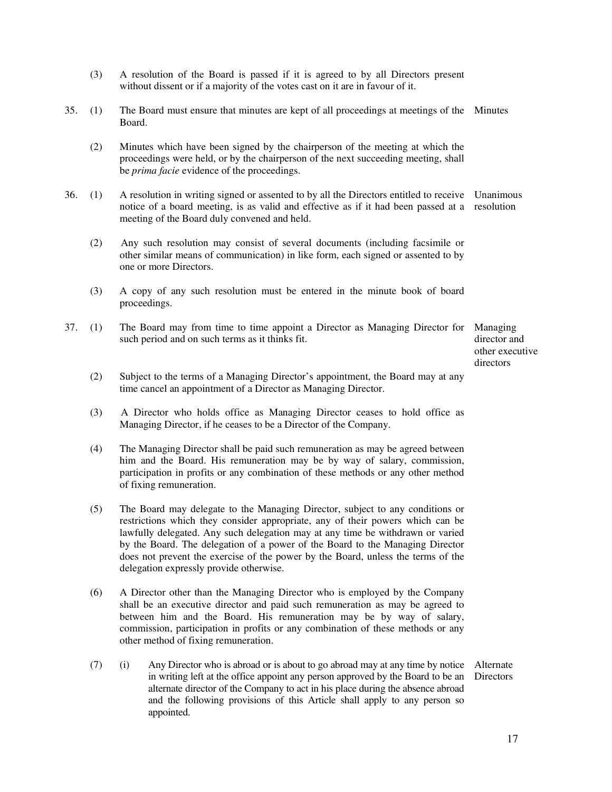- (3) A resolution of the Board is passed if it is agreed to by all Directors present without dissent or if a majority of the votes cast on it are in favour of it.
- 35. (1) The Board must ensure that minutes are kept of all proceedings at meetings of the Minutes Board.
	- (2) Minutes which have been signed by the chairperson of the meeting at which the proceedings were held, or by the chairperson of the next succeeding meeting, shall be *prima facie* evidence of the proceedings.
- 36. (1) A resolution in writing signed or assented to by all the Directors entitled to receive Unanimous notice of a board meeting, is as valid and effective as if it had been passed at a resolution meeting of the Board duly convened and held.
	- (2) Any such resolution may consist of several documents (including facsimile or other similar means of communication) in like form, each signed or assented to by one or more Directors.
	- (3) A copy of any such resolution must be entered in the minute book of board proceedings.
- 37. (1) The Board may from time to time appoint a Director as Managing Director for such period and on such terms as it thinks fit.

Managing director and other executive directors

- (2) Subject to the terms of a Managing Director's appointment, the Board may at any time cancel an appointment of a Director as Managing Director.
- (3) A Director who holds office as Managing Director ceases to hold office as Managing Director, if he ceases to be a Director of the Company.
- (4) The Managing Director shall be paid such remuneration as may be agreed between him and the Board. His remuneration may be by way of salary, commission, participation in profits or any combination of these methods or any other method of fixing remuneration.
- (5) The Board may delegate to the Managing Director, subject to any conditions or restrictions which they consider appropriate, any of their powers which can be lawfully delegated. Any such delegation may at any time be withdrawn or varied by the Board. The delegation of a power of the Board to the Managing Director does not prevent the exercise of the power by the Board, unless the terms of the delegation expressly provide otherwise.
- (6) A Director other than the Managing Director who is employed by the Company shall be an executive director and paid such remuneration as may be agreed to between him and the Board. His remuneration may be by way of salary, commission, participation in profits or any combination of these methods or any other method of fixing remuneration.
- (7) (i) Any Director who is abroad or is about to go abroad may at any time by notice Alternate in writing left at the office appoint any person approved by the Board to be an Directors alternate director of the Company to act in his place during the absence abroad and the following provisions of this Article shall apply to any person so appointed.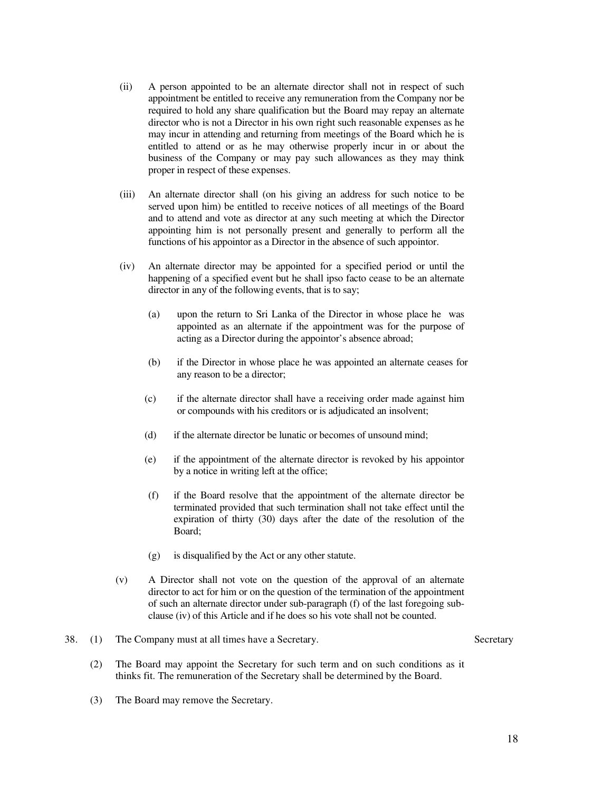- (ii) A person appointed to be an alternate director shall not in respect of such appointment be entitled to receive any remuneration from the Company nor be required to hold any share qualification but the Board may repay an alternate director who is not a Director in his own right such reasonable expenses as he may incur in attending and returning from meetings of the Board which he is entitled to attend or as he may otherwise properly incur in or about the business of the Company or may pay such allowances as they may think proper in respect of these expenses.
- (iii) An alternate director shall (on his giving an address for such notice to be served upon him) be entitled to receive notices of all meetings of the Board and to attend and vote as director at any such meeting at which the Director appointing him is not personally present and generally to perform all the functions of his appointor as a Director in the absence of such appointor.
- (iv) An alternate director may be appointed for a specified period or until the happening of a specified event but he shall ipso facto cease to be an alternate director in any of the following events, that is to say;
	- (a) upon the return to Sri Lanka of the Director in whose place he was appointed as an alternate if the appointment was for the purpose of acting as a Director during the appointor's absence abroad;
	- (b) if the Director in whose place he was appointed an alternate ceases for any reason to be a director;
	- (c) if the alternate director shall have a receiving order made against him or compounds with his creditors or is adjudicated an insolvent;
	- (d) if the alternate director be lunatic or becomes of unsound mind;
	- (e) if the appointment of the alternate director is revoked by his appointor by a notice in writing left at the office;
	- (f) if the Board resolve that the appointment of the alternate director be terminated provided that such termination shall not take effect until the expiration of thirty (30) days after the date of the resolution of the Board;
	- (g) is disqualified by the Act or any other statute.
- (v) A Director shall not vote on the question of the approval of an alternate director to act for him or on the question of the termination of the appointment of such an alternate director under sub-paragraph (f) of the last foregoing subclause (iv) of this Article and if he does so his vote shall not be counted.

#### 38. (1) The Company must at all times have a Secretary. Secretary

- 
- (2) The Board may appoint the Secretary for such term and on such conditions as it thinks fit. The remuneration of the Secretary shall be determined by the Board.
- (3) The Board may remove the Secretary.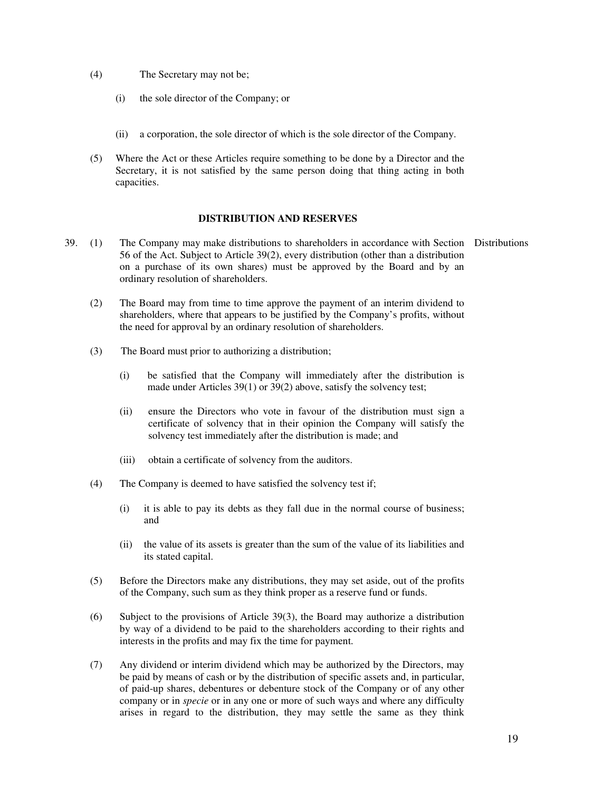- (4) The Secretary may not be;
	- (i) the sole director of the Company; or
	- (ii) a corporation, the sole director of which is the sole director of the Company.
- (5) Where the Act or these Articles require something to be done by a Director and the Secretary, it is not satisfied by the same person doing that thing acting in both capacities.

#### **DISTRIBUTION AND RESERVES**

- 39. (1) The Company may make distributions to shareholders in accordance with Section Distributions 56 of the Act. Subject to Article 39(2), every distribution (other than a distribution on a purchase of its own shares) must be approved by the Board and by an ordinary resolution of shareholders.
	- (2) The Board may from time to time approve the payment of an interim dividend to shareholders, where that appears to be justified by the Company's profits, without the need for approval by an ordinary resolution of shareholders.
	- (3) The Board must prior to authorizing a distribution;
		- (i) be satisfied that the Company will immediately after the distribution is made under Articles 39(1) or 39(2) above, satisfy the solvency test;
		- (ii) ensure the Directors who vote in favour of the distribution must sign a certificate of solvency that in their opinion the Company will satisfy the solvency test immediately after the distribution is made; and
		- (iii) obtain a certificate of solvency from the auditors.
	- (4) The Company is deemed to have satisfied the solvency test if;
		- (i) it is able to pay its debts as they fall due in the normal course of business; and
		- (ii) the value of its assets is greater than the sum of the value of its liabilities and its stated capital.
	- (5) Before the Directors make any distributions, they may set aside, out of the profits of the Company, such sum as they think proper as a reserve fund or funds.
	- (6) Subject to the provisions of Article 39(3), the Board may authorize a distribution by way of a dividend to be paid to the shareholders according to their rights and interests in the profits and may fix the time for payment.
	- (7) Any dividend or interim dividend which may be authorized by the Directors, may be paid by means of cash or by the distribution of specific assets and, in particular, of paid-up shares, debentures or debenture stock of the Company or of any other company or in *specie* or in any one or more of such ways and where any difficulty arises in regard to the distribution, they may settle the same as they think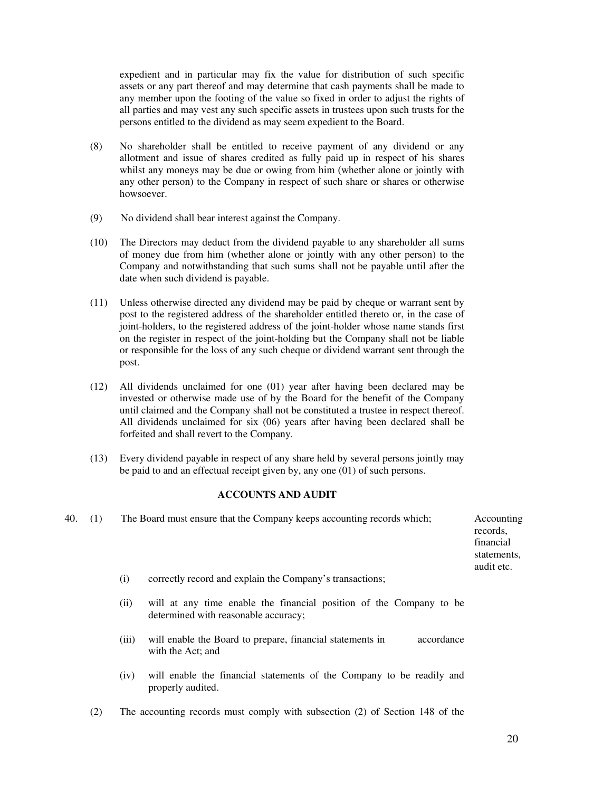expedient and in particular may fix the value for distribution of such specific assets or any part thereof and may determine that cash payments shall be made to any member upon the footing of the value so fixed in order to adjust the rights of all parties and may vest any such specific assets in trustees upon such trusts for the persons entitled to the dividend as may seem expedient to the Board.

- (8) No shareholder shall be entitled to receive payment of any dividend or any allotment and issue of shares credited as fully paid up in respect of his shares whilst any moneys may be due or owing from him (whether alone or jointly with any other person) to the Company in respect of such share or shares or otherwise howsoever.
- (9) No dividend shall bear interest against the Company.
- (10) The Directors may deduct from the dividend payable to any shareholder all sums of money due from him (whether alone or jointly with any other person) to the Company and notwithstanding that such sums shall not be payable until after the date when such dividend is payable.
- (11) Unless otherwise directed any dividend may be paid by cheque or warrant sent by post to the registered address of the shareholder entitled thereto or, in the case of joint-holders, to the registered address of the joint-holder whose name stands first on the register in respect of the joint-holding but the Company shall not be liable or responsible for the loss of any such cheque or dividend warrant sent through the post.
- (12) All dividends unclaimed for one (01) year after having been declared may be invested or otherwise made use of by the Board for the benefit of the Company until claimed and the Company shall not be constituted a trustee in respect thereof. All dividends unclaimed for six (06) years after having been declared shall be forfeited and shall revert to the Company.
- (13) Every dividend payable in respect of any share held by several persons jointly may be paid to and an effectual receipt given by, any one (01) of such persons.

### **ACCOUNTS AND AUDIT**

| 40. | (1) |       | The Board must ensure that the Company keeps accounting records which;                                      | Accounting<br>records,<br>financial<br>statements,<br>audit etc. |
|-----|-----|-------|-------------------------------------------------------------------------------------------------------------|------------------------------------------------------------------|
|     |     | (i)   | correctly record and explain the Company's transactions;                                                    |                                                                  |
|     |     | (ii)  | will at any time enable the financial position of the Company to be<br>determined with reasonable accuracy; |                                                                  |
|     |     | (iii) | will enable the Board to prepare, financial statements in<br>accordance<br>with the Act; and                |                                                                  |
|     |     | (iv)  | will enable the financial statements of the Company to be readily and<br>properly audited.                  |                                                                  |

(2) The accounting records must comply with subsection (2) of Section 148 of the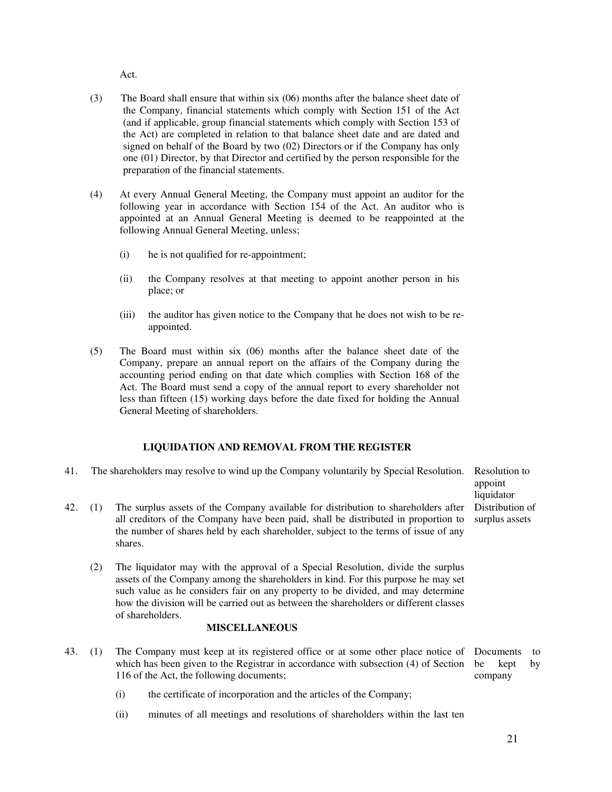Act.

- (3) The Board shall ensure that within six (06) months after the balance sheet date of the Company, financial statements which comply with Section 151 of the Act (and if applicable, group financial statements which comply with Section 153 of the Act) are completed in relation to that balance sheet date and are dated and signed on behalf of the Board by two (02) Directors or if the Company has only one (01) Director, by that Director and certified by the person responsible for the preparation of the financial statements.
- (4) At every Annual General Meeting, the Company must appoint an auditor for the following year in accordance with Section 154 of the Act. An auditor who is appointed at an Annual General Meeting is deemed to be reappointed at the following Annual General Meeting, unless;
	- (i) he is not qualified for re-appointment;
	- (ii) the Company resolves at that meeting to appoint another person in his place; or
	- (iii) the auditor has given notice to the Company that he does not wish to be reappointed.
- (5) The Board must within six (06) months after the balance sheet date of the Company, prepare an annual report on the affairs of the Company during the accounting period ending on that date which complies with Section 168 of the Act. The Board must send a copy of the annual report to every shareholder not less than fifteen (15) working days before the date fixed for holding the Annual General Meeting of shareholders.

### **LIQUIDATION AND REMOVAL FROM THE REGISTER**

- 41. The shareholders may resolve to wind up the Company voluntarily by Special Resolution. Resolution to
- 42. (1) The surplus assets of the Company available for distribution to shareholders after all creditors of the Company have been paid, shall be distributed in proportion to the number of shares held by each shareholder, subject to the terms of issue of any shares.
	- (2) The liquidator may with the approval of a Special Resolution, divide the surplus assets of the Company among the shareholders in kind. For this purpose he may set such value as he considers fair on any property to be divided, and may determine how the division will be carried out as between the shareholders or different classes of shareholders.

# **MISCELLANEOUS**

- 43. (1) The Company must keep at its registered office or at some other place notice of which has been given to the Registrar in accordance with subsection (4) of Section 116 of the Act, the following documents; Documents to be kept by company
	- (i) the certificate of incorporation and the articles of the Company;
	- (ii) minutes of all meetings and resolutions of shareholders within the last ten

appoint liquidator Distribution of surplus assets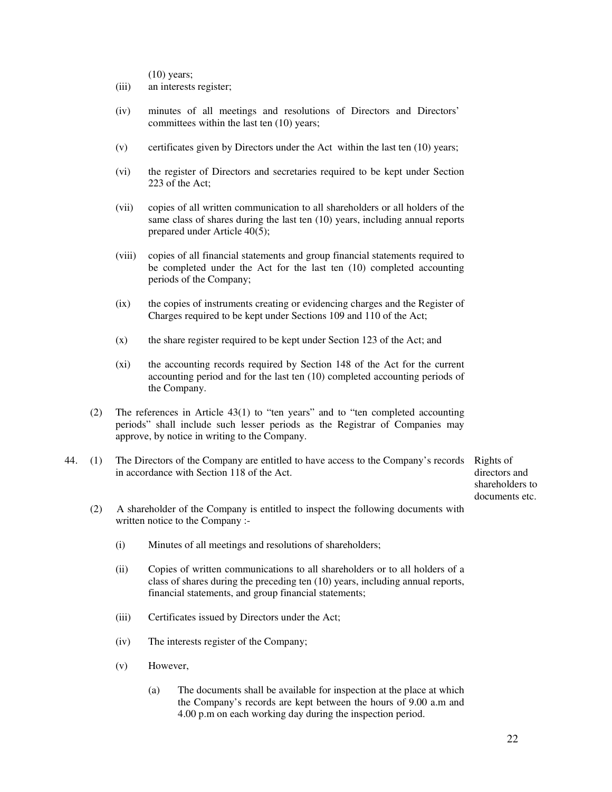(10) years;

- (iii) an interests register;
- (iv) minutes of all meetings and resolutions of Directors and Directors' committees within the last ten (10) years;
- (v) certificates given by Directors under the Act within the last ten (10) years;
- (vi) the register of Directors and secretaries required to be kept under Section 223 of the Act;
- (vii) copies of all written communication to all shareholders or all holders of the same class of shares during the last ten (10) years, including annual reports prepared under Article 40(5);
- (viii) copies of all financial statements and group financial statements required to be completed under the Act for the last ten (10) completed accounting periods of the Company;
- (ix) the copies of instruments creating or evidencing charges and the Register of Charges required to be kept under Sections 109 and 110 of the Act;
- (x) the share register required to be kept under Section 123 of the Act; and
- (xi) the accounting records required by Section 148 of the Act for the current accounting period and for the last ten (10) completed accounting periods of the Company.
- (2) The references in Article 43(1) to "ten years" and to "ten completed accounting periods" shall include such lesser periods as the Registrar of Companies may approve, by notice in writing to the Company.
- 44. (1) The Directors of the Company are entitled to have access to the Company's records Rights of in accordance with Section 118 of the Act.

directors and shareholders to documents etc.

- (2) A shareholder of the Company is entitled to inspect the following documents with written notice to the Company :-
	- (i) Minutes of all meetings and resolutions of shareholders;
	- (ii) Copies of written communications to all shareholders or to all holders of a class of shares during the preceding ten (10) years, including annual reports, financial statements, and group financial statements;
	- (iii) Certificates issued by Directors under the Act;
	- (iv) The interests register of the Company;
	- (v) However,
		- (a) The documents shall be available for inspection at the place at which the Company's records are kept between the hours of 9.00 a.m and 4.00 p.m on each working day during the inspection period.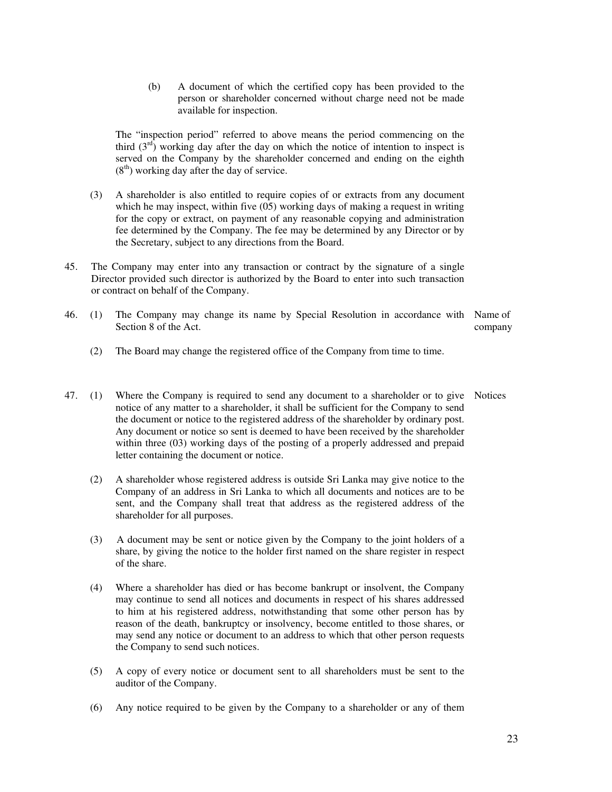(b) A document of which the certified copy has been provided to the person or shareholder concerned without charge need not be made available for inspection.

 The "inspection period" referred to above means the period commencing on the third  $(3<sup>rd</sup>)$  working day after the day on which the notice of intention to inspect is served on the Company by the shareholder concerned and ending on the eighth  $(8<sup>th</sup>)$  working day after the day of service.

- (3) A shareholder is also entitled to require copies of or extracts from any document which he may inspect, within five (05) working days of making a request in writing for the copy or extract, on payment of any reasonable copying and administration fee determined by the Company. The fee may be determined by any Director or by the Secretary, subject to any directions from the Board.
- 45. The Company may enter into any transaction or contract by the signature of a single Director provided such director is authorized by the Board to enter into such transaction or contract on behalf of the Company.
- 46. (1) The Company may change its name by Special Resolution in accordance with Name of Section 8 of the Act. company
	- (2) The Board may change the registered office of the Company from time to time.
- 47. (1) Where the Company is required to send any document to a shareholder or to give Notices notice of any matter to a shareholder, it shall be sufficient for the Company to send the document or notice to the registered address of the shareholder by ordinary post. Any document or notice so sent is deemed to have been received by the shareholder within three (03) working days of the posting of a properly addressed and prepaid letter containing the document or notice.
	- (2) A shareholder whose registered address is outside Sri Lanka may give notice to the Company of an address in Sri Lanka to which all documents and notices are to be sent, and the Company shall treat that address as the registered address of the shareholder for all purposes.
	- (3) A document may be sent or notice given by the Company to the joint holders of a share, by giving the notice to the holder first named on the share register in respect of the share.
	- (4) Where a shareholder has died or has become bankrupt or insolvent, the Company may continue to send all notices and documents in respect of his shares addressed to him at his registered address, notwithstanding that some other person has by reason of the death, bankruptcy or insolvency, become entitled to those shares, or may send any notice or document to an address to which that other person requests the Company to send such notices.
	- (5) A copy of every notice or document sent to all shareholders must be sent to the auditor of the Company.
	- (6) Any notice required to be given by the Company to a shareholder or any of them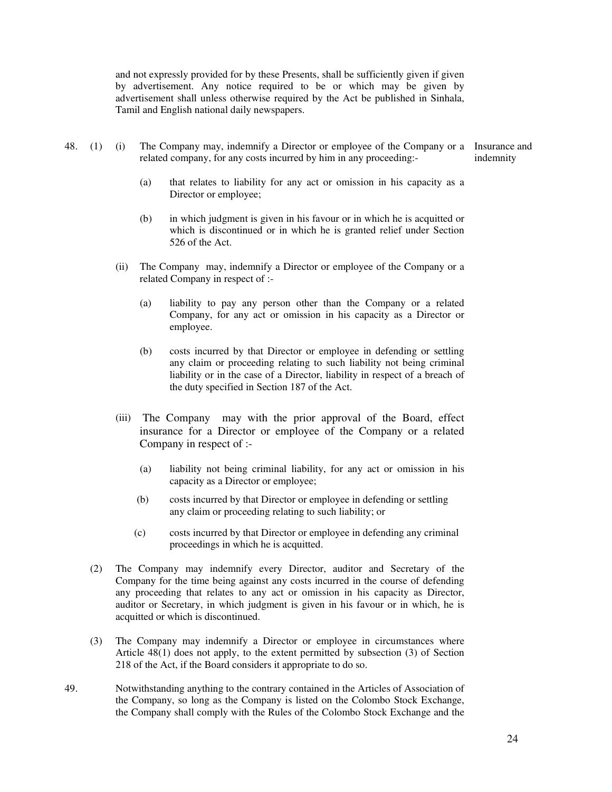and not expressly provided for by these Presents, shall be sufficiently given if given by advertisement. Any notice required to be or which may be given by advertisement shall unless otherwise required by the Act be published in Sinhala, Tamil and English national daily newspapers.

- 48. (1) (i) The Company may, indemnify a Director or employee of the Company or a Insurance and related company, for any costs incurred by him in any proceeding: indemnity
	- (a) that relates to liability for any act or omission in his capacity as a Director or employee;
	- (b) in which judgment is given in his favour or in which he is acquitted or which is discontinued or in which he is granted relief under Section 526 of the Act.
	- (ii) The Company may, indemnify a Director or employee of the Company or a related Company in respect of :-
		- (a) liability to pay any person other than the Company or a related Company, for any act or omission in his capacity as a Director or employee.
		- (b) costs incurred by that Director or employee in defending or settling any claim or proceeding relating to such liability not being criminal liability or in the case of a Director, liability in respect of a breach of the duty specified in Section 187 of the Act.
	- (iii) The Company may with the prior approval of the Board, effect insurance for a Director or employee of the Company or a related Company in respect of :-
		- (a) liability not being criminal liability, for any act or omission in his capacity as a Director or employee;
		- (b) costs incurred by that Director or employee in defending or settling any claim or proceeding relating to such liability; or
		- (c) costs incurred by that Director or employee in defending any criminal proceedings in which he is acquitted.
	- (2) The Company may indemnify every Director, auditor and Secretary of the Company for the time being against any costs incurred in the course of defending any proceeding that relates to any act or omission in his capacity as Director, auditor or Secretary, in which judgment is given in his favour or in which, he is acquitted or which is discontinued.
	- (3) The Company may indemnify a Director or employee in circumstances where Article 48(1) does not apply, to the extent permitted by subsection (3) of Section 218 of the Act, if the Board considers it appropriate to do so.
- 49. Notwithstanding anything to the contrary contained in the Articles of Association of the Company, so long as the Company is listed on the Colombo Stock Exchange, the Company shall comply with the Rules of the Colombo Stock Exchange and the